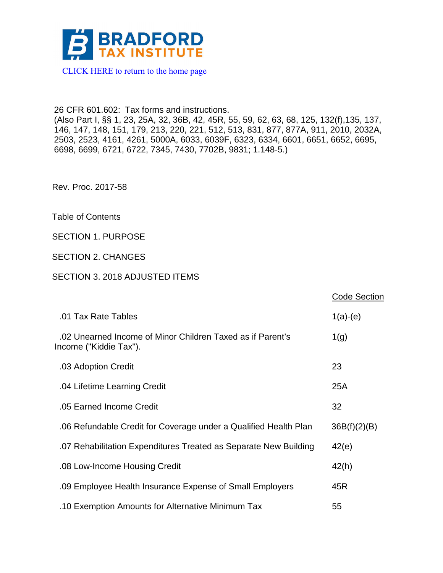

#### 26 CFR 601.602: Tax forms and instructions.

(Also Part I, §§ 1, 23, 25A, 32, 36B, 42, 45R, 55, 59, 62, 63, 68, 125, 132(f),135, 137, 146, 147, 148, 151, 179, 213, 220, 221, 512, 513, 831, 877, 877A, 911, 2010, 2032A, 2503, 2523, 4161, 4261, 5000A, 6033, 6039F, 6323, 6334, 6601, 6651, 6652, 6695, 6698, 6699, 6721, 6722, 7345, 7430, 7702B, 9831; 1.148-5.)

Rev. Proc. 2017-58

Table of Contents

# SECTION 1. PURPOSE

SECTION 2. CHANGES

# SECTION 3. 2018 ADJUSTED ITEMS

|                                                                                      | <b>Code Section</b> |
|--------------------------------------------------------------------------------------|---------------------|
| .01 Tax Rate Tables                                                                  | $1(a)-(e)$          |
| .02 Unearned Income of Minor Children Taxed as if Parent's<br>Income ("Kiddie Tax"). | 1(g)                |
| .03 Adoption Credit                                                                  | 23                  |
| .04 Lifetime Learning Credit                                                         | 25A                 |
| .05 Earned Income Credit                                                             | 32                  |
| .06 Refundable Credit for Coverage under a Qualified Health Plan                     | 36B(f)(2)(B)        |
| .07 Rehabilitation Expenditures Treated as Separate New Building                     | 42(e)               |
| .08 Low-Income Housing Credit                                                        | 42(h)               |
| .09 Employee Health Insurance Expense of Small Employers                             | 45R                 |
| .10 Exemption Amounts for Alternative Minimum Tax                                    | 55                  |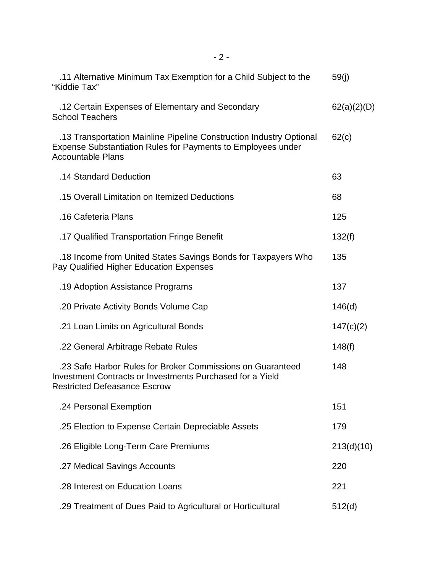| .11 Alternative Minimum Tax Exemption for a Child Subject to the<br>"Kiddie Tax"                                                                                | 59(j)       |
|-----------------------------------------------------------------------------------------------------------------------------------------------------------------|-------------|
| .12 Certain Expenses of Elementary and Secondary<br><b>School Teachers</b>                                                                                      | 62(a)(2)(D) |
| .13 Transportation Mainline Pipeline Construction Industry Optional<br>Expense Substantiation Rules for Payments to Employees under<br><b>Accountable Plans</b> | 62(c)       |
| .14 Standard Deduction                                                                                                                                          | 63          |
| .15 Overall Limitation on Itemized Deductions                                                                                                                   | 68          |
| .16 Cafeteria Plans                                                                                                                                             | 125         |
| .17 Qualified Transportation Fringe Benefit                                                                                                                     | 132(f)      |
| .18 Income from United States Savings Bonds for Taxpayers Who<br>Pay Qualified Higher Education Expenses                                                        | 135         |
| .19 Adoption Assistance Programs                                                                                                                                | 137         |
| .20 Private Activity Bonds Volume Cap                                                                                                                           | 146(d)      |
| .21 Loan Limits on Agricultural Bonds                                                                                                                           | 147(c)(2)   |
| .22 General Arbitrage Rebate Rules                                                                                                                              | 148(f)      |
| .23 Safe Harbor Rules for Broker Commissions on Guaranteed<br>Investment Contracts or Investments Purchased for a Yield<br><b>Restricted Defeasance Escrow</b>  | 148         |
| .24 Personal Exemption                                                                                                                                          | 151         |
| .25 Election to Expense Certain Depreciable Assets                                                                                                              | 179         |
| .26 Eligible Long-Term Care Premiums                                                                                                                            | 213(d)(10)  |
| .27 Medical Savings Accounts                                                                                                                                    | 220         |
| .28 Interest on Education Loans                                                                                                                                 | 221         |
| .29 Treatment of Dues Paid to Agricultural or Horticultural                                                                                                     | 512(d)      |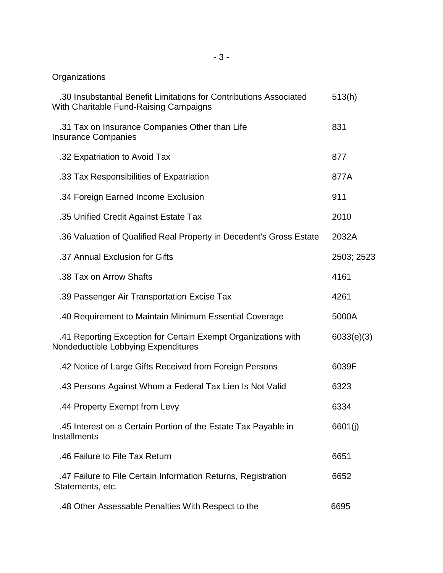# **Organizations**

| .30 Insubstantial Benefit Limitations for Contributions Associated<br>With Charitable Fund-Raising Campaigns | 513(h)     |
|--------------------------------------------------------------------------------------------------------------|------------|
| .31 Tax on Insurance Companies Other than Life<br><b>Insurance Companies</b>                                 | 831        |
| .32 Expatriation to Avoid Tax                                                                                | 877        |
| .33 Tax Responsibilities of Expatriation                                                                     | 877A       |
| .34 Foreign Earned Income Exclusion                                                                          | 911        |
| .35 Unified Credit Against Estate Tax                                                                        | 2010       |
| .36 Valuation of Qualified Real Property in Decedent's Gross Estate                                          | 2032A      |
| .37 Annual Exclusion for Gifts                                                                               | 2503; 2523 |
| .38 Tax on Arrow Shafts                                                                                      | 4161       |
| .39 Passenger Air Transportation Excise Tax                                                                  | 4261       |
| .40 Requirement to Maintain Minimum Essential Coverage                                                       | 5000A      |
| .41 Reporting Exception for Certain Exempt Organizations with<br>Nondeductible Lobbying Expenditures         | 6033(e)(3) |
| .42 Notice of Large Gifts Received from Foreign Persons                                                      | 6039F      |
| .43 Persons Against Whom a Federal Tax Lien Is Not Valid                                                     | 6323       |
| .44 Property Exempt from Levy                                                                                | 6334       |
| .45 Interest on a Certain Portion of the Estate Tax Payable in<br>Installments                               | 6601(j)    |
| .46 Failure to File Tax Return                                                                               | 6651       |
| .47 Failure to File Certain Information Returns, Registration<br>Statements, etc.                            | 6652       |
| .48 Other Assessable Penalties With Respect to the                                                           | 6695       |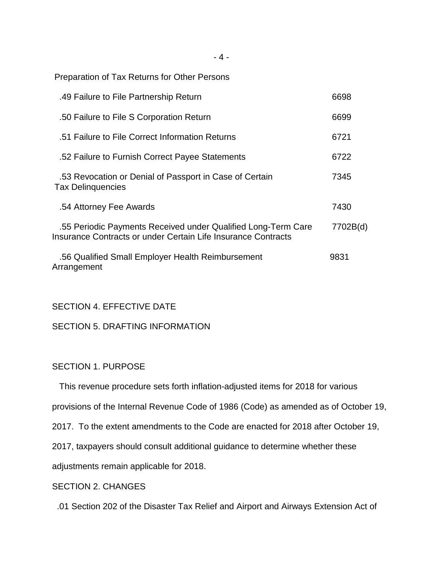Preparation of Tax Returns for Other Persons

| .49 Failure to File Partnership Return                                                                                         | 6698     |
|--------------------------------------------------------------------------------------------------------------------------------|----------|
| .50 Failure to File S Corporation Return                                                                                       | 6699     |
| .51 Failure to File Correct Information Returns                                                                                | 6721     |
| .52 Failure to Furnish Correct Payee Statements                                                                                | 6722     |
| .53 Revocation or Denial of Passport in Case of Certain<br><b>Tax Delinquencies</b>                                            | 7345     |
| .54 Attorney Fee Awards                                                                                                        | 7430     |
| .55 Periodic Payments Received under Qualified Long-Term Care<br>Insurance Contracts or under Certain Life Insurance Contracts | 7702B(d) |
| .56 Qualified Small Employer Health Reimbursement<br>Arrangement                                                               | 9831     |

# SECTION 4. EFFECTIVE DATE

# SECTION 5. DRAFTING INFORMATION

# SECTION 1. PURPOSE

This revenue procedure sets forth inflation-adjusted items for 2018 for various

provisions of the Internal Revenue Code of 1986 (Code) as amended as of October 19,

2017. To the extent amendments to the Code are enacted for 2018 after October 19,

2017, taxpayers should consult additional guidance to determine whether these

adjustments remain applicable for 2018.

# SECTION 2. CHANGES

.01 Section 202 of the Disaster Tax Relief and Airport and Airways Extension Act of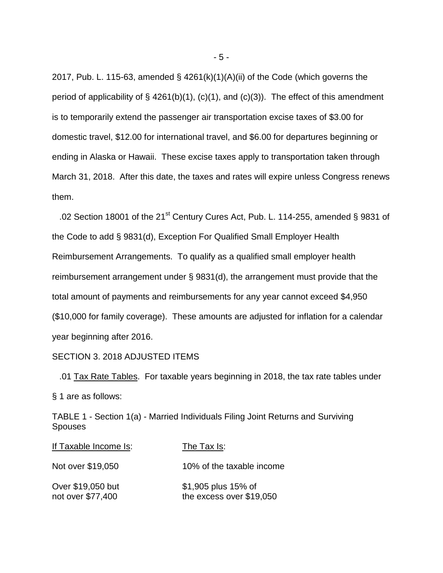2017, Pub. L. 115-63, amended  $\S$  4261(k)(1)(A)(ii) of the Code (which governs the period of applicability of  $\S$  4261(b)(1), (c)(1), and (c)(3)). The effect of this amendment is to temporarily extend the passenger air transportation excise taxes of \$3.00 for domestic travel, \$12.00 for international travel, and \$6.00 for departures beginning or ending in Alaska or Hawaii. These excise taxes apply to transportation taken through March 31, 2018. After this date, the taxes and rates will expire unless Congress renews them.

.02 Section 18001 of the 21<sup>st</sup> Century Cures Act, Pub. L. 114-255, amended § 9831 of the Code to add § 9831(d), Exception For Qualified Small Employer Health Reimbursement Arrangements. To qualify as a qualified small employer health reimbursement arrangement under § 9831(d), the arrangement must provide that the total amount of payments and reimbursements for any year cannot exceed \$4,950 (\$10,000 for family coverage). These amounts are adjusted for inflation for a calendar year beginning after 2016.

#### SECTION 3. 2018 ADJUSTED ITEMS

 .01 Tax Rate Tables. For taxable years beginning in 2018, the tax rate tables under § 1 are as follows:

TABLE 1 - Section 1(a) - Married Individuals Filing Joint Returns and Surviving Spouses

| If Taxable Income Is:                  | The Tax Is:                                     |
|----------------------------------------|-------------------------------------------------|
| Not over \$19,050                      | 10% of the taxable income                       |
| Over \$19,050 but<br>not over \$77,400 | \$1,905 plus 15% of<br>the excess over \$19,050 |

- 5 -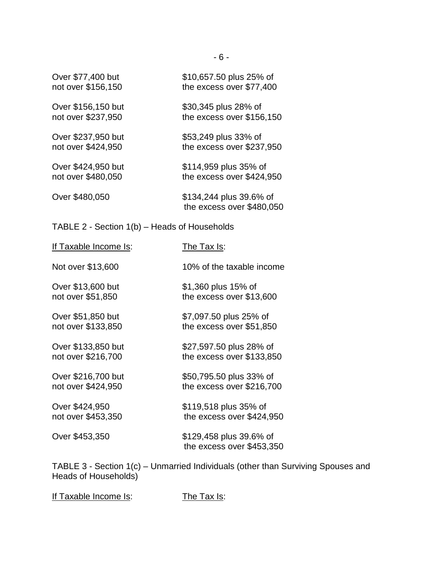| \$10,657.50 plus 25% of<br>the excess over \$77,400  |
|------------------------------------------------------|
| \$30,345 plus 28% of<br>the excess over \$156,150    |
| \$53,249 plus 33% of<br>the excess over \$237,950    |
| \$114,959 plus 35% of<br>the excess over \$424,950   |
| \$134,244 plus 39.6% of<br>the excess over \$480,050 |
|                                                      |

# TABLE 2 - Section 1(b) – Heads of Households

| If Taxable Income Is: | The Tax Is:                                          |
|-----------------------|------------------------------------------------------|
| Not over \$13,600     | 10% of the taxable income                            |
| Over \$13,600 but     | \$1,360 plus 15% of                                  |
| not over \$51,850     | the excess over \$13,600                             |
| Over \$51,850 but     | \$7,097.50 plus 25% of                               |
| not over \$133,850    | the excess over \$51,850                             |
| Over \$133,850 but    | \$27,597.50 plus 28% of                              |
| not over \$216,700    | the excess over \$133,850                            |
| Over \$216,700 but    | \$50,795.50 plus 33% of                              |
| not over \$424,950    | the excess over \$216,700                            |
| Over \$424,950        | \$119,518 plus 35% of                                |
| not over \$453,350    | the excess over \$424,950                            |
| Over \$453,350        | \$129,458 plus 39.6% of<br>the excess over \$453,350 |
|                       |                                                      |

TABLE 3 - Section 1(c) – Unmarried Individuals (other than Surviving Spouses and Heads of Households)

If Taxable Income Is: The Tax Is:

- 6 -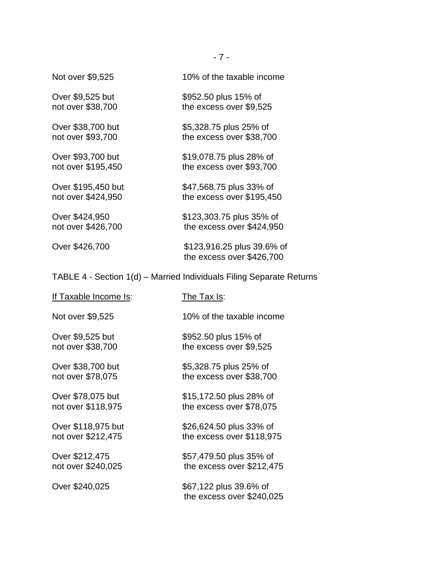| Not over \$9,525   | 10% of the taxable income                               |
|--------------------|---------------------------------------------------------|
| Over \$9,525 but   | \$952.50 plus 15% of                                    |
| not over \$38,700  | the excess over \$9,525                                 |
| Over \$38,700 but  | \$5,328.75 plus 25% of                                  |
| not over \$93,700  | the excess over \$38,700                                |
| Over \$93,700 but  | \$19,078.75 plus 28% of                                 |
| not over \$195,450 | the excess over \$93,700                                |
| Over \$195,450 but | \$47,568.75 plus 33% of                                 |
| not over \$424,950 | the excess over \$195,450                               |
| Over \$424,950     | \$123,303.75 plus 35% of                                |
| not over \$426,700 | the excess over \$424,950                               |
| Over \$426,700     | \$123,916.25 plus 39.6% of<br>the excess over \$426,700 |

TABLE 4 - Section 1(d) – Married Individuals Filing Separate Returns

| If Taxable Income Is: | The Tax Is:                                         |
|-----------------------|-----------------------------------------------------|
| Not over \$9,525      | 10% of the taxable income                           |
| Over \$9,525 but      | \$952.50 plus 15% of                                |
| not over \$38,700     | the excess over \$9,525                             |
| Over \$38,700 but     | \$5,328.75 plus 25% of                              |
| not over \$78,075     | the excess over \$38,700                            |
| Over \$78,075 but     | \$15,172.50 plus 28% of                             |
| not over \$118,975    | the excess over \$78,075                            |
| Over \$118,975 but    | \$26,624.50 plus 33% of                             |
| not over \$212,475    | the excess over \$118,975                           |
| Over \$212,475        | \$57,479.50 plus 35% of                             |
| not over \$240,025    | the excess over \$212,475                           |
| Over \$240,025        | \$67,122 plus 39.6% of<br>the excess over \$240,025 |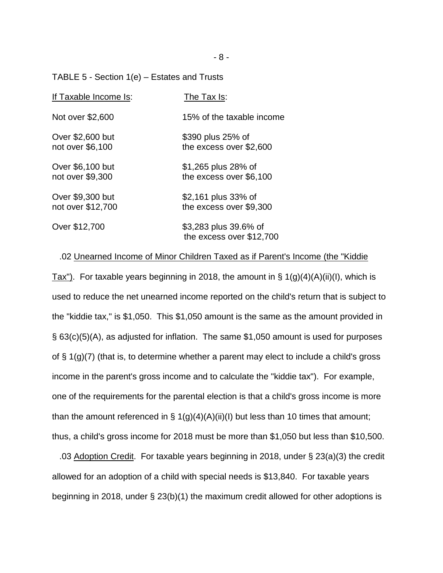TABLE 5 - Section 1(e) – Estates and Trusts

| If Taxable Income Is: | The Tax Is:                                       |
|-----------------------|---------------------------------------------------|
| Not over \$2,600      | 15% of the taxable income                         |
| Over \$2,600 but      | \$390 plus 25% of                                 |
| not over \$6,100      | the excess over \$2,600                           |
| Over \$6,100 but      | \$1,265 plus 28% of                               |
| not over \$9,300      | the excess over \$6,100                           |
| Over \$9,300 but      | \$2,161 plus 33% of                               |
| not over \$12,700     | the excess over \$9,300                           |
| Over \$12,700         | \$3,283 plus 39.6% of<br>the excess over \$12,700 |

#### .02 Unearned Income of Minor Children Taxed as if Parent's Income (the "Kiddie

Tax"). For taxable years beginning in 2018, the amount in  $\S 1(g)(4)(A)(ii)(I)$ , which is used to reduce the net unearned income reported on the child's return that is subject to the "kiddie tax," is \$1,050. This \$1,050 amount is the same as the amount provided in § 63(c)(5)(A), as adjusted for inflation. The same \$1,050 amount is used for purposes of § 1(g)(7) (that is, to determine whether a parent may elect to include a child's gross income in the parent's gross income and to calculate the "kiddie tax"). For example, one of the requirements for the parental election is that a child's gross income is more than the amount referenced in  $\S 1(g)(4)(A)(ii)(I)$  but less than 10 times that amount; thus, a child's gross income for 2018 must be more than \$1,050 but less than \$10,500.

 .03 Adoption Credit. For taxable years beginning in 2018, under § 23(a)(3) the credit allowed for an adoption of a child with special needs is \$13,840. For taxable years beginning in 2018, under § 23(b)(1) the maximum credit allowed for other adoptions is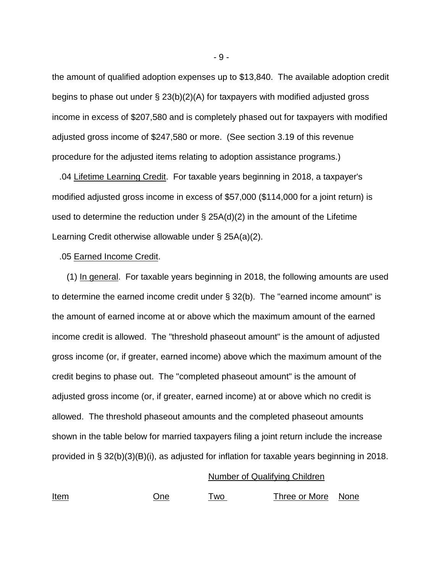the amount of qualified adoption expenses up to \$13,840. The available adoption credit begins to phase out under § 23(b)(2)(A) for taxpayers with modified adjusted gross income in excess of \$207,580 and is completely phased out for taxpayers with modified adjusted gross income of \$247,580 or more. (See section 3.19 of this revenue procedure for the adjusted items relating to adoption assistance programs.)

 .04 Lifetime Learning Credit. For taxable years beginning in 2018, a taxpayer's modified adjusted gross income in excess of \$57,000 (\$114,000 for a joint return) is used to determine the reduction under § 25A(d)(2) in the amount of the Lifetime Learning Credit otherwise allowable under § 25A(a)(2).

#### .05 Earned Income Credit.

 (1) In general. For taxable years beginning in 2018, the following amounts are used to determine the earned income credit under § 32(b). The "earned income amount" is the amount of earned income at or above which the maximum amount of the earned income credit is allowed. The "threshold phaseout amount" is the amount of adjusted gross income (or, if greater, earned income) above which the maximum amount of the credit begins to phase out. The "completed phaseout amount" is the amount of adjusted gross income (or, if greater, earned income) at or above which no credit is allowed. The threshold phaseout amounts and the completed phaseout amounts shown in the table below for married taxpayers filing a joint return include the increase provided in § 32(b)(3)(B)(i), as adjusted for inflation for taxable years beginning in 2018.

#### Number of Qualifying Children

Item One Two Three or More None

- 9 -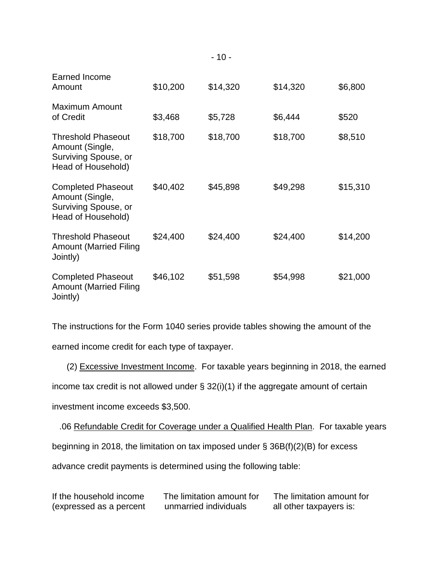| Earned Income<br>Amount                                                                    | \$10,200 | \$14,320 | \$14,320 | \$6,800  |
|--------------------------------------------------------------------------------------------|----------|----------|----------|----------|
| <b>Maximum Amount</b><br>of Credit                                                         | \$3,468  | \$5,728  | \$6,444  | \$520    |
| <b>Threshold Phaseout</b><br>Amount (Single,<br>Surviving Spouse, or<br>Head of Household) | \$18,700 | \$18,700 | \$18,700 | \$8,510  |
| <b>Completed Phaseout</b><br>Amount (Single,<br>Surviving Spouse, or<br>Head of Household) | \$40,402 | \$45,898 | \$49,298 | \$15,310 |
| <b>Threshold Phaseout</b><br><b>Amount (Married Filing</b><br>Jointly)                     | \$24,400 | \$24,400 | \$24,400 | \$14,200 |
| <b>Completed Phaseout</b><br><b>Amount (Married Filing</b><br>Jointly)                     | \$46,102 | \$51,598 | \$54,998 | \$21,000 |

The instructions for the Form 1040 series provide tables showing the amount of the earned income credit for each type of taxpayer.

(2) Excessive Investment Income. For taxable years beginning in 2018, the earned

income tax credit is not allowed under  $\S$  32(i)(1) if the aggregate amount of certain

investment income exceeds \$3,500.

 .06 Refundable Credit for Coverage under a Qualified Health Plan. For taxable years beginning in 2018, the limitation on tax imposed under § 36B(f)(2)(B) for excess advance credit payments is determined using the following table:

If the household income The limitation amount for The limitation amount for (expressed as a percent unmarried individuals all other taxpayers is: (expressed as a percent unmarried individuals all other taxpayers is: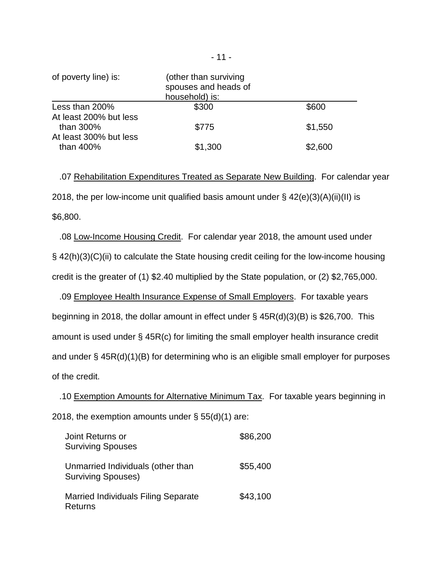| of poverty line) is:<br>(other than surviving<br>spouses and heads of<br>household) is: |         |         |  |
|-----------------------------------------------------------------------------------------|---------|---------|--|
| Less than 200%                                                                          | \$300   | \$600   |  |
| At least 200% but less<br>than $300\%$                                                  | \$775   | \$1,550 |  |
| At least 300% but less<br>than $400\%$                                                  | \$1,300 | \$2,600 |  |

 .07 Rehabilitation Expenditures Treated as Separate New Building. For calendar year 2018, the per low-income unit qualified basis amount under  $\S$  42(e)(3)(A)(ii)(II) is \$6,800.

 .08 Low-Income Housing Credit. For calendar year 2018, the amount used under § 42(h)(3)(C)(ii) to calculate the State housing credit ceiling for the low-income housing credit is the greater of (1) \$2.40 multiplied by the State population, or (2) \$2,765,000.

.09 Employee Health Insurance Expense of Small Employers. For taxable years beginning in 2018, the dollar amount in effect under § 45R(d)(3)(B) is \$26,700. This amount is used under § 45R(c) for limiting the small employer health insurance credit and under § 45R(d)(1)(B) for determining who is an eligible small employer for purposes of the credit.

 .10 Exemption Amounts for Alternative Minimum Tax. For taxable years beginning in 2018, the exemption amounts under  $\S$  55(d)(1) are:

| Joint Returns or<br><b>Surviving Spouses</b>                   | \$86,200 |
|----------------------------------------------------------------|----------|
| Unmarried Individuals (other than<br><b>Surviving Spouses)</b> | \$55,400 |
| <b>Married Individuals Filing Separate</b><br>Returns          | \$43,100 |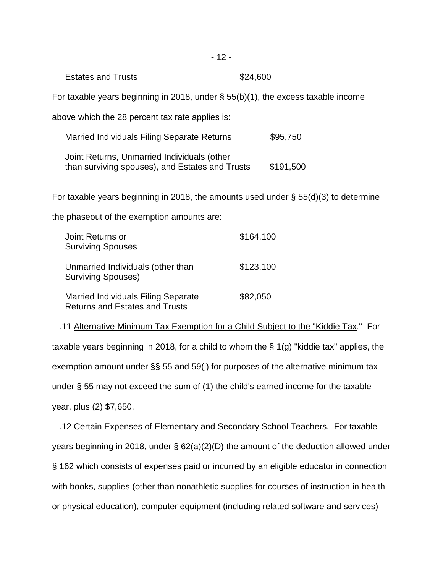| <b>Estates and Trusts</b> | \$24,600 |
|---------------------------|----------|
|---------------------------|----------|

For taxable years beginning in 2018, under § 55(b)(1), the excess taxable income

above which the 28 percent tax rate applies is:

Married Individuals Filing Separate Returns \$95,750

Joint Returns, Unmarried Individuals (other than surviving spouses), and Estates and Trusts \$191,500

For taxable years beginning in 2018, the amounts used under  $\S$  55(d)(3) to determine

the phaseout of the exemption amounts are:

| Joint Returns or<br><b>Surviving Spouses</b>                                        | \$164,100 |
|-------------------------------------------------------------------------------------|-----------|
| Unmarried Individuals (other than<br><b>Surviving Spouses)</b>                      | \$123,100 |
| <b>Married Individuals Filing Separate</b><br><b>Returns and Estates and Trusts</b> | \$82,050  |

 .11 Alternative Minimum Tax Exemption for a Child Subject to the "Kiddie Tax." For taxable years beginning in 2018, for a child to whom the § 1(g) "kiddie tax" applies, the exemption amount under §§ 55 and 59(j) for purposes of the alternative minimum tax under § 55 may not exceed the sum of (1) the child's earned income for the taxable year, plus (2) \$7,650.

 .12 Certain Expenses of Elementary and Secondary School Teachers. For taxable years beginning in 2018, under  $\S$  62(a)(2)(D) the amount of the deduction allowed under § 162 which consists of expenses paid or incurred by an eligible educator in connection with books, supplies (other than nonathletic supplies for courses of instruction in health or physical education), computer equipment (including related software and services)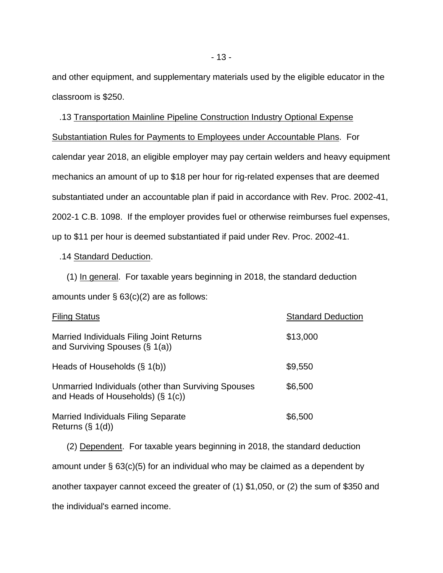and other equipment, and supplementary materials used by the eligible educator in the classroom is \$250.

 .13 Transportation Mainline Pipeline Construction Industry Optional Expense Substantiation Rules for Payments to Employees under Accountable Plans. For calendar year 2018, an eligible employer may pay certain welders and heavy equipment mechanics an amount of up to \$18 per hour for rig-related expenses that are deemed substantiated under an accountable plan if paid in accordance with Rev. Proc. 2002-41, 2002-1 C.B. 1098. If the employer provides fuel or otherwise reimburses fuel expenses, up to \$11 per hour is deemed substantiated if paid under Rev. Proc. 2002-41.

#### .14 Standard Deduction.

 (1) In general. For taxable years beginning in 2018, the standard deduction amounts under § 63(c)(2) are as follows:

| <b>Filing Status</b>                                                                     | <b>Standard Deduction</b> |
|------------------------------------------------------------------------------------------|---------------------------|
| Married Individuals Filing Joint Returns<br>and Surviving Spouses $(\S 1(a))$            | \$13,000                  |
| Heads of Households $(\S 1(b))$                                                          | \$9,550                   |
| Unmarried Individuals (other than Surviving Spouses<br>and Heads of Households) (§ 1(c)) | \$6,500                   |
| <b>Married Individuals Filing Separate</b><br>Returns $(\S 1(d))$                        | \$6,500                   |

 (2) Dependent. For taxable years beginning in 2018, the standard deduction amount under § 63(c)(5) for an individual who may be claimed as a dependent by another taxpayer cannot exceed the greater of (1) \$1,050, or (2) the sum of \$350 and the individual's earned income.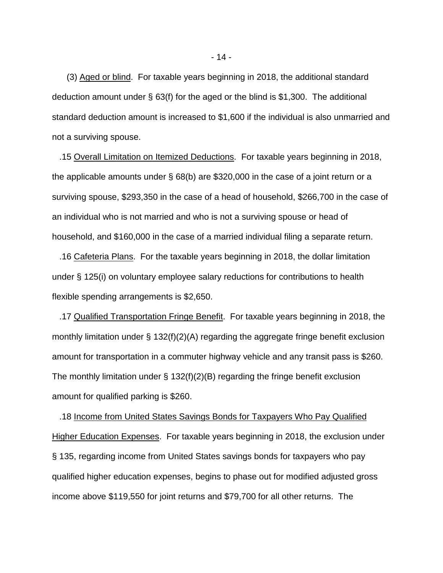(3) Aged or blind. For taxable years beginning in 2018, the additional standard deduction amount under § 63(f) for the aged or the blind is \$1,300. The additional standard deduction amount is increased to \$1,600 if the individual is also unmarried and not a surviving spouse.

 .15 Overall Limitation on Itemized Deductions. For taxable years beginning in 2018, the applicable amounts under § 68(b) are \$320,000 in the case of a joint return or a surviving spouse, \$293,350 in the case of a head of household, \$266,700 in the case of an individual who is not married and who is not a surviving spouse or head of household, and \$160,000 in the case of a married individual filing a separate return.

 .16 Cafeteria Plans. For the taxable years beginning in 2018, the dollar limitation under § 125(i) on voluntary employee salary reductions for contributions to health flexible spending arrangements is \$2,650.

 .17 Qualified Transportation Fringe Benefit. For taxable years beginning in 2018, the monthly limitation under § 132(f)(2)(A) regarding the aggregate fringe benefit exclusion amount for transportation in a commuter highway vehicle and any transit pass is \$260. The monthly limitation under  $\S$  132(f)(2)(B) regarding the fringe benefit exclusion amount for qualified parking is \$260.

 .18 Income from United States Savings Bonds for Taxpayers Who Pay Qualified Higher Education Expenses. For taxable years beginning in 2018, the exclusion under § 135, regarding income from United States savings bonds for taxpayers who pay qualified higher education expenses, begins to phase out for modified adjusted gross income above \$119,550 for joint returns and \$79,700 for all other returns. The

- 14 -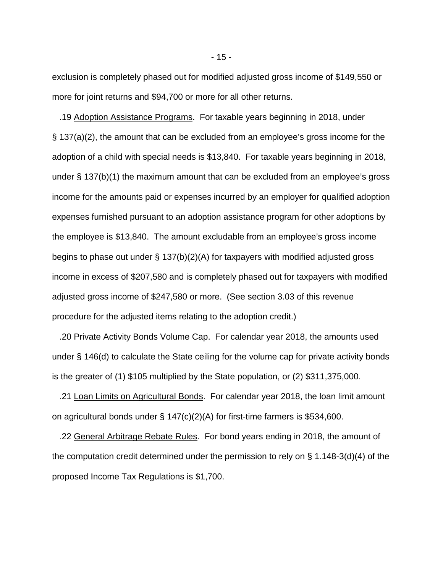exclusion is completely phased out for modified adjusted gross income of \$149,550 or more for joint returns and \$94,700 or more for all other returns.

 .19 Adoption Assistance Programs. For taxable years beginning in 2018, under § 137(a)(2), the amount that can be excluded from an employee's gross income for the adoption of a child with special needs is \$13,840. For taxable years beginning in 2018, under § 137(b)(1) the maximum amount that can be excluded from an employee's gross income for the amounts paid or expenses incurred by an employer for qualified adoption expenses furnished pursuant to an adoption assistance program for other adoptions by the employee is \$13,840. The amount excludable from an employee's gross income begins to phase out under § 137(b)(2)(A) for taxpayers with modified adjusted gross income in excess of \$207,580 and is completely phased out for taxpayers with modified adjusted gross income of \$247,580 or more. (See section 3.03 of this revenue procedure for the adjusted items relating to the adoption credit.)

 .20 Private Activity Bonds Volume Cap. For calendar year 2018, the amounts used under § 146(d) to calculate the State ceiling for the volume cap for private activity bonds is the greater of (1) \$105 multiplied by the State population, or (2) \$311,375,000.

 .21 Loan Limits on Agricultural Bonds. For calendar year 2018, the loan limit amount on agricultural bonds under § 147(c)(2)(A) for first-time farmers is \$534,600.

 .22 General Arbitrage Rebate Rules. For bond years ending in 2018, the amount of the computation credit determined under the permission to rely on § 1.148-3(d)(4) of the proposed Income Tax Regulations is \$1,700.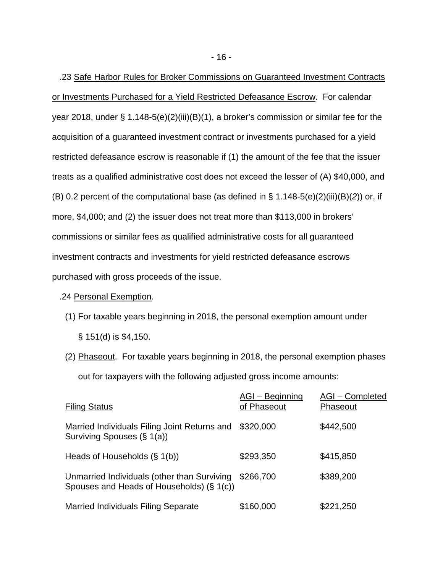.23 Safe Harbor Rules for Broker Commissions on Guaranteed Investment Contracts or Investments Purchased for a Yield Restricted Defeasance Escrow. For calendar year 2018, under § 1.148-5(e)(2)(iii)(B)(1), a broker's commission or similar fee for the acquisition of a guaranteed investment contract or investments purchased for a yield restricted defeasance escrow is reasonable if (1) the amount of the fee that the issuer treats as a qualified administrative cost does not exceed the lesser of (A) \$40,000, and (B) 0.2 percent of the computational base (as defined in § 1.148-5(e)(2)(iii)(B)(*2*)) or, if more, \$4,000; and (2) the issuer does not treat more than \$113,000 in brokers' commissions or similar fees as qualified administrative costs for all guaranteed investment contracts and investments for yield restricted defeasance escrows purchased with gross proceeds of the issue.

# .24 Personal Exemption.

- (1) For taxable years beginning in 2018, the personal exemption amount under § 151(d) is \$4,150.
- (2) Phaseout. For taxable years beginning in 2018, the personal exemption phases out for taxpayers with the following adjusted gross income amounts:

| <b>Filing Status</b>                                                                     | AGI - Beginning<br>of Phaseout | AGI-Completed<br>Phaseout |
|------------------------------------------------------------------------------------------|--------------------------------|---------------------------|
| Married Individuals Filing Joint Returns and<br>Surviving Spouses (§ 1(a))               | \$320,000                      | \$442,500                 |
| Heads of Households (§ 1(b))                                                             | \$293,350                      | \$415,850                 |
| Unmarried Individuals (other than Surviving<br>Spouses and Heads of Households) (§ 1(c)) | \$266,700                      | \$389,200                 |
| <b>Married Individuals Filing Separate</b>                                               | \$160,000                      | \$221,250                 |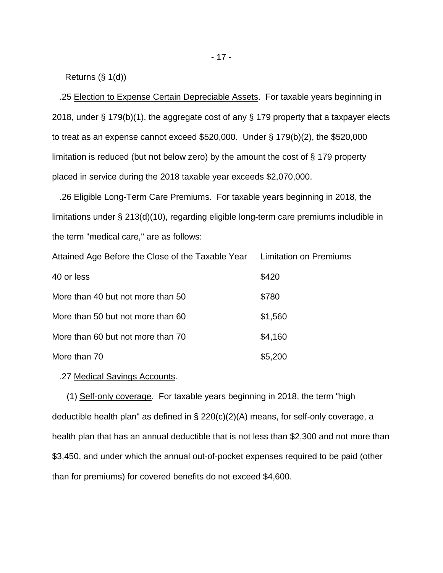Returns (§ 1(d))

 .25 Election to Expense Certain Depreciable Assets. For taxable years beginning in 2018, under § 179(b)(1), the aggregate cost of any § 179 property that a taxpayer elects to treat as an expense cannot exceed \$520,000. Under § 179(b)(2), the \$520,000 limitation is reduced (but not below zero) by the amount the cost of § 179 property placed in service during the 2018 taxable year exceeds \$2,070,000.

 .26 Eligible Long-Term Care Premiums. For taxable years beginning in 2018, the limitations under § 213(d)(10), regarding eligible long-term care premiums includible in the term "medical care," are as follows:

| Attained Age Before the Close of the Taxable Year | Limitation on Premiums |
|---------------------------------------------------|------------------------|
| 40 or less                                        | \$420                  |
| More than 40 but not more than 50                 | \$780                  |
| More than 50 but not more than 60                 | \$1,560                |
| More than 60 but not more than 70                 | \$4,160                |
| More than 70                                      | \$5,200                |

.27 Medical Savings Accounts.

 (1) Self-only coverage. For taxable years beginning in 2018, the term "high deductible health plan" as defined in § 220(c)(2)(A) means, for self-only coverage, a health plan that has an annual deductible that is not less than \$2,300 and not more than \$3,450, and under which the annual out-of-pocket expenses required to be paid (other than for premiums) for covered benefits do not exceed \$4,600.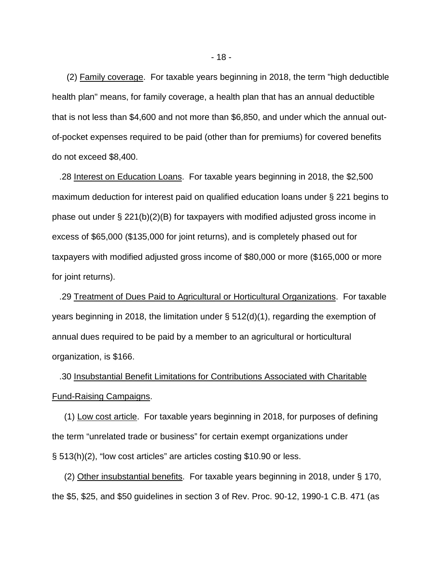(2) Family coverage. For taxable years beginning in 2018, the term "high deductible health plan" means, for family coverage, a health plan that has an annual deductible that is not less than \$4,600 and not more than \$6,850, and under which the annual outof-pocket expenses required to be paid (other than for premiums) for covered benefits do not exceed \$8,400.

 .28 Interest on Education Loans. For taxable years beginning in 2018, the \$2,500 maximum deduction for interest paid on qualified education loans under § 221 begins to phase out under § 221(b)(2)(B) for taxpayers with modified adjusted gross income in excess of \$65,000 (\$135,000 for joint returns), and is completely phased out for taxpayers with modified adjusted gross income of \$80,000 or more (\$165,000 or more for joint returns).

 .29 Treatment of Dues Paid to Agricultural or Horticultural Organizations. For taxable years beginning in 2018, the limitation under  $\S$  512(d)(1), regarding the exemption of annual dues required to be paid by a member to an agricultural or horticultural organization, is \$166.

 .30 Insubstantial Benefit Limitations for Contributions Associated with Charitable Fund-Raising Campaigns.

 (1) Low cost article. For taxable years beginning in 2018, for purposes of defining the term "unrelated trade or business" for certain exempt organizations under § 513(h)(2), "low cost articles" are articles costing \$10.90 or less.

 (2) Other insubstantial benefits. For taxable years beginning in 2018, under § 170, the \$5, \$25, and \$50 guidelines in section 3 of Rev. Proc. 90-12, 1990-1 C.B. 471 (as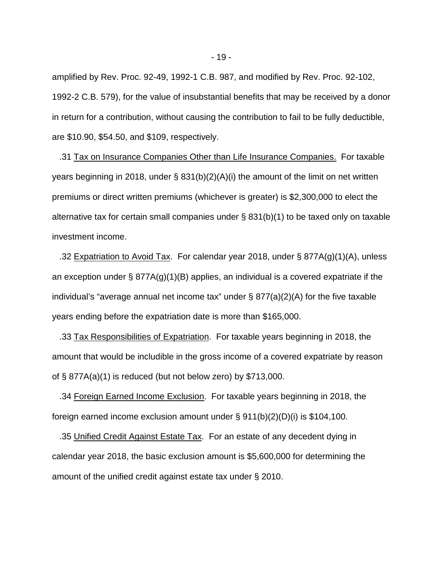amplified by Rev. Proc. 92-49, 1992-1 C.B. 987, and modified by Rev. Proc. 92-102, 1992-2 C.B. 579), for the value of insubstantial benefits that may be received by a donor in return for a contribution, without causing the contribution to fail to be fully deductible, are \$10.90, \$54.50, and \$109, respectively.

 .31 Tax on Insurance Companies Other than Life Insurance Companies. For taxable years beginning in 2018, under § 831(b)(2)(A)(i) the amount of the limit on net written premiums or direct written premiums (whichever is greater) is \$2,300,000 to elect the alternative tax for certain small companies under § 831(b)(1) to be taxed only on taxable investment income.

.32 Expatriation to Avoid Tax. For calendar year 2018, under  $\S$  877A(g)(1)(A), unless an exception under § 877A(g)(1)(B) applies, an individual is a covered expatriate if the individual's "average annual net income tax" under  $\S 877(a)(2)$ (A) for the five taxable years ending before the expatriation date is more than \$165,000.

 .33 Tax Responsibilities of Expatriation. For taxable years beginning in 2018, the amount that would be includible in the gross income of a covered expatriate by reason of § 877A(a)(1) is reduced (but not below zero) by \$713,000.

 .34 Foreign Earned Income Exclusion. For taxable years beginning in 2018, the foreign earned income exclusion amount under  $\S$  911(b)(2)(D)(i) is \$104,100.

 .35 Unified Credit Against Estate Tax. For an estate of any decedent dying in calendar year 2018, the basic exclusion amount is \$5,600,000 for determining the amount of the unified credit against estate tax under § 2010.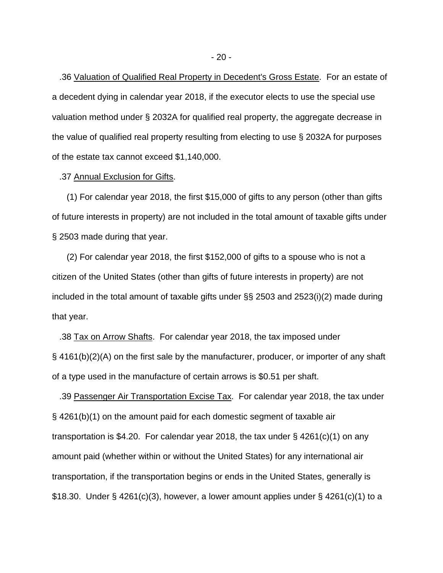.36 Valuation of Qualified Real Property in Decedent's Gross Estate. For an estate of a decedent dying in calendar year 2018, if the executor elects to use the special use valuation method under § 2032A for qualified real property, the aggregate decrease in the value of qualified real property resulting from electing to use § 2032A for purposes of the estate tax cannot exceed \$1,140,000.

#### .37 Annual Exclusion for Gifts.

 (1) For calendar year 2018, the first \$15,000 of gifts to any person (other than gifts of future interests in property) are not included in the total amount of taxable gifts under § 2503 made during that year.

 (2) For calendar year 2018, the first \$152,000 of gifts to a spouse who is not a citizen of the United States (other than gifts of future interests in property) are not included in the total amount of taxable gifts under §§ 2503 and 2523(i)(2) made during that year.

 .38 Tax on Arrow Shafts. For calendar year 2018, the tax imposed under § 4161(b)(2)(A) on the first sale by the manufacturer, producer, or importer of any shaft of a type used in the manufacture of certain arrows is \$0.51 per shaft.

 .39 Passenger Air Transportation Excise Tax. For calendar year 2018, the tax under § 4261(b)(1) on the amount paid for each domestic segment of taxable air transportation is \$4.20. For calendar year 2018, the tax under  $\S$  4261(c)(1) on any amount paid (whether within or without the United States) for any international air transportation, if the transportation begins or ends in the United States, generally is \$18.30. Under  $\S$  4261(c)(3), however, a lower amount applies under  $\S$  4261(c)(1) to a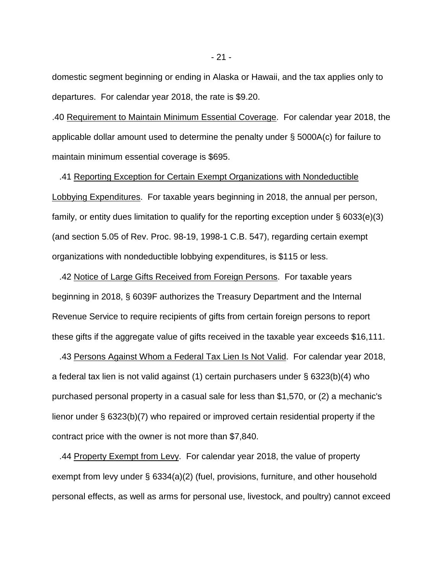domestic segment beginning or ending in Alaska or Hawaii, and the tax applies only to departures. For calendar year 2018, the rate is \$9.20.

.40 Requirement to Maintain Minimum Essential Coverage. For calendar year 2018, the applicable dollar amount used to determine the penalty under § 5000A(c) for failure to maintain minimum essential coverage is \$695.

 .41 Reporting Exception for Certain Exempt Organizations with Nondeductible Lobbying Expenditures. For taxable years beginning in 2018, the annual per person, family, or entity dues limitation to qualify for the reporting exception under § 6033(e)(3) (and section 5.05 of Rev. Proc. 98-19, 1998-1 C.B. 547), regarding certain exempt organizations with nondeductible lobbying expenditures, is \$115 or less.

 .42 Notice of Large Gifts Received from Foreign Persons. For taxable years beginning in 2018, § 6039F authorizes the Treasury Department and the Internal Revenue Service to require recipients of gifts from certain foreign persons to report these gifts if the aggregate value of gifts received in the taxable year exceeds \$16,111.

 .43 Persons Against Whom a Federal Tax Lien Is Not Valid. For calendar year 2018, a federal tax lien is not valid against (1) certain purchasers under § 6323(b)(4) who purchased personal property in a casual sale for less than \$1,570, or (2) a mechanic's lienor under § 6323(b)(7) who repaired or improved certain residential property if the contract price with the owner is not more than \$7,840.

 .44 Property Exempt from Levy. For calendar year 2018, the value of property exempt from levy under § 6334(a)(2) (fuel, provisions, furniture, and other household personal effects, as well as arms for personal use, livestock, and poultry) cannot exceed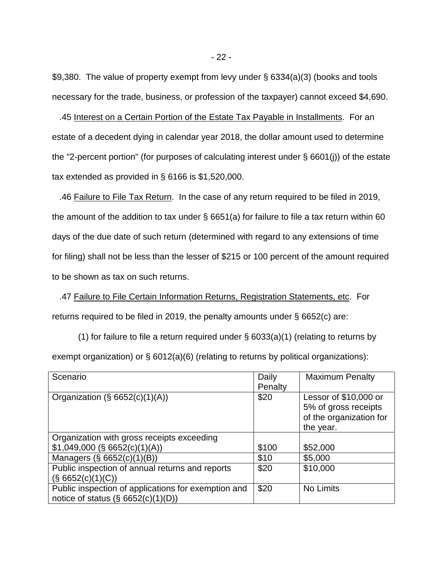\$9,380. The value of property exempt from levy under § 6334(a)(3) (books and tools necessary for the trade, business, or profession of the taxpayer) cannot exceed \$4,690.

 .45 Interest on a Certain Portion of the Estate Tax Payable in Installments. For an estate of a decedent dying in calendar year 2018, the dollar amount used to determine the "2-percent portion" (for purposes of calculating interest under § 6601(j)) of the estate tax extended as provided in § 6166 is \$1,520,000.

 .46 Failure to File Tax Return. In the case of any return required to be filed in 2019, the amount of the addition to tax under § 6651(a) for failure to file a tax return within 60 days of the due date of such return (determined with regard to any extensions of time for filing) shall not be less than the lesser of \$215 or 100 percent of the amount required to be shown as tax on such returns.

 .47 Failure to File Certain Information Returns, Registration Statements, etc. For returns required to be filed in 2019, the penalty amounts under § 6652(c) are:

(1) for failure to file a return required under  $\S$  6033(a)(1) (relating to returns by exempt organization) or § 6012(a)(6) (relating to returns by political organizations):

| Scenario                                                                                     | Daily<br>Penalty | <b>Maximum Penalty</b>                                                                |
|----------------------------------------------------------------------------------------------|------------------|---------------------------------------------------------------------------------------|
| Organization (§ $6652(c)(1)(A)$ )                                                            | \$20             | Lessor of \$10,000 or<br>5% of gross receipts<br>of the organization for<br>the year. |
| Organization with gross receipts exceeding                                                   |                  |                                                                                       |
| $$1,049,000$ (§ 6652(c)(1)(A))                                                               | \$100            | \$52,000                                                                              |
| Managers (§ 6652(c)(1)(B))                                                                   | \$10             | \$5,000                                                                               |
| Public inspection of annual returns and reports<br>(S 6652(c)(1)(C))                         | \$20             | \$10,000                                                                              |
| Public inspection of applications for exemption and<br>notice of status $(\S 6652(c)(1)(D))$ | \$20             | No Limits                                                                             |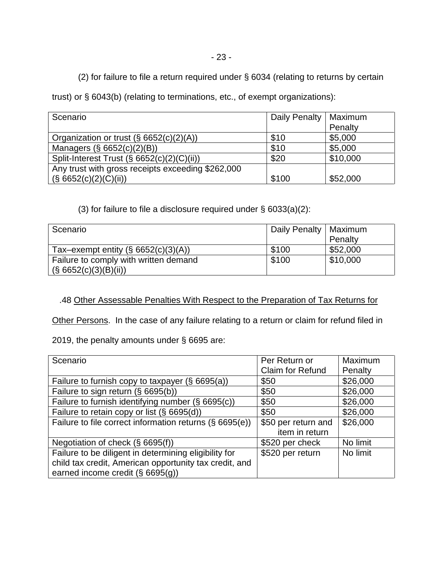(2) for failure to file a return required under § 6034 (relating to returns by certain

trust) or § 6043(b) (relating to terminations, etc., of exempt organizations):

| Scenario                                          | Daily Penalty | Maximum  |
|---------------------------------------------------|---------------|----------|
|                                                   |               | Penalty  |
| Organization or trust $(\S 6652(c)(2)(A))$        | \$10          | \$5,000  |
| Managers (§ 6652(c)(2)(B))                        | \$10          | \$5,000  |
| Split-Interest Trust (§ 6652(c)(2)(C)(ii))        | \$20          | \$10,000 |
| Any trust with gross receipts exceeding \$262,000 |               |          |
| (S 6652(c)(2)(C)(ii))                             | \$100         | \$52,000 |

# (3) for failure to file a disclosure required under § 6033(a)(2):

| Scenario                              | Daily Penalty   Maximum | Penalty  |
|---------------------------------------|-------------------------|----------|
|                                       |                         |          |
| Tax-exempt entity $(S 6652(c)(3)(A))$ | \$100                   | \$52,000 |
| Failure to comply with written demand | \$100                   | \$10,000 |
| (S 6652(c)(3)(B)(ii))                 |                         |          |

# .48 Other Assessable Penalties With Respect to the Preparation of Tax Returns for

Other Persons. In the case of any failure relating to a return or claim for refund filed in

2019, the penalty amounts under § 6695 are:

| Scenario                                                | Per Return or           | Maximum  |
|---------------------------------------------------------|-------------------------|----------|
|                                                         | <b>Claim for Refund</b> | Penalty  |
| Failure to furnish copy to taxpayer $(\S 6695(a))$      | \$50                    | \$26,000 |
| Failure to sign return (§ 6695(b))                      | \$50                    | \$26,000 |
| Failure to furnish identifying number (§ 6695(c))       | \$50                    | \$26,000 |
| Failure to retain copy or list (§ 6695(d))              | \$50                    | \$26,000 |
| Failure to file correct information returns (§ 6695(e)) | \$50 per return and     | \$26,000 |
|                                                         | item in return          |          |
| Negotiation of check (§ 6695(f))                        | \$520 per check         | No limit |
| Failure to be diligent in determining eligibility for   | \$520 per return        | No limit |
| child tax credit, American opportunity tax credit, and  |                         |          |
| earned income credit (§ 6695(g))                        |                         |          |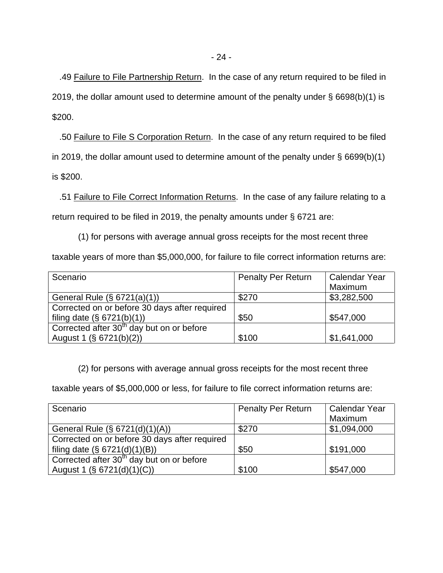.49 Failure to File Partnership Return. In the case of any return required to be filed in 2019, the dollar amount used to determine amount of the penalty under § 6698(b)(1) is \$200.

.50 Failure to File S Corporation Return. In the case of any return required to be filed

in 2019, the dollar amount used to determine amount of the penalty under § 6699(b)(1)

is \$200.

.51 Failure to File Correct Information Returns. In the case of any failure relating to a

return required to be filed in 2019, the penalty amounts under § 6721 are:

(1) for persons with average annual gross receipts for the most recent three

taxable years of more than \$5,000,000, for failure to file correct information returns are:

| Scenario                                              | <b>Penalty Per Return</b> | <b>Calendar Year</b> |
|-------------------------------------------------------|---------------------------|----------------------|
|                                                       |                           | Maximum              |
| General Rule (§ 6721(a)(1))                           | \$270                     | \$3,282,500          |
| Corrected on or before 30 days after required         |                           |                      |
| filing date $(\S 6721(b)(1))$                         | \$50                      | \$547,000            |
| Corrected after 30 <sup>th</sup> day but on or before |                           |                      |
| August 1 $(S \ 6721(b)(2))$                           | \$100                     | \$1,641,000          |

(2) for persons with average annual gross receipts for the most recent three

taxable years of \$5,000,000 or less, for failure to file correct information returns are:

| Scenario                                              | <b>Penalty Per Return</b> | <b>Calendar Year</b> |
|-------------------------------------------------------|---------------------------|----------------------|
|                                                       |                           | Maximum              |
| General Rule (§ 6721(d)(1)(A))                        | \$270                     | \$1,094,000          |
| Corrected on or before 30 days after required         |                           |                      |
| filing date $(\S 6721(d)(1)(B))$                      | \$50                      | \$191,000            |
| Corrected after 30 <sup>th</sup> day but on or before |                           |                      |
| August 1 (§ 6721(d)(1)(C))                            | \$100                     | \$547,000            |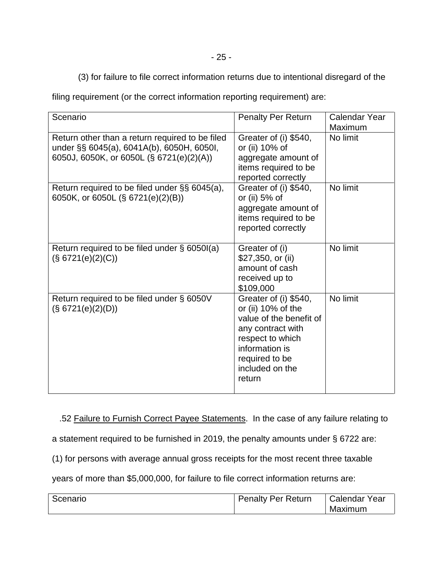(3) for failure to file correct information returns due to intentional disregard of the

filing requirement (or the correct information reporting requirement) are:

| Scenario                                                                                                                                 | <b>Penalty Per Return</b>                                                                                                                                                        | <b>Calendar Year</b><br>Maximum |
|------------------------------------------------------------------------------------------------------------------------------------------|----------------------------------------------------------------------------------------------------------------------------------------------------------------------------------|---------------------------------|
| Return other than a return required to be filed<br>under §§ 6045(a), 6041A(b), 6050H, 6050I,<br>6050J, 6050K, or 6050L (§ 6721(e)(2)(A)) | Greater of (i) \$540,<br>or (ii) 10% of<br>aggregate amount of<br>items required to be<br>reported correctly                                                                     | No limit                        |
| Return required to be filed under $\S$ § 6045(a),<br>6050K, or 6050L (§ 6721(e)(2)(B))                                                   | Greater of (i) \$540,<br>or (ii) $5%$ of<br>aggregate amount of<br>items required to be<br>reported correctly                                                                    | No limit                        |
| Return required to be filed under § 6050I(a)<br>(S 6721(e)(2)(C))                                                                        | Greater of (i)<br>\$27,350, or (ii)<br>amount of cash<br>received up to<br>\$109,000                                                                                             | No limit                        |
| Return required to be filed under § 6050V<br>(S 6721(e)(2)(D))                                                                           | Greater of (i) \$540,<br>or (ii) 10% of the<br>value of the benefit of<br>any contract with<br>respect to which<br>information is<br>required to be<br>included on the<br>return | No limit                        |

.52 Failure to Furnish Correct Payee Statements. In the case of any failure relating to

a statement required to be furnished in 2019, the penalty amounts under § 6722 are:

(1) for persons with average annual gross receipts for the most recent three taxable

years of more than \$5,000,000, for failure to file correct information returns are:

| Scenario | <b>Penalty Per Return</b> | Year<br>Calendar<br>Maximum |
|----------|---------------------------|-----------------------------|
|----------|---------------------------|-----------------------------|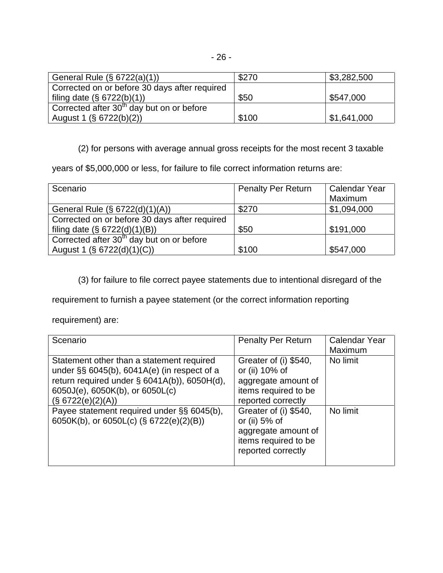| General Rule $(\S 6722(a)(1))$                        | \$270 | \$3,282,500 |
|-------------------------------------------------------|-------|-------------|
| Corrected on or before 30 days after required         |       |             |
| filing date $(\S 6722(b)(1))$                         | \$50  | \$547,000   |
| Corrected after 30 <sup>th</sup> day but on or before |       |             |
| August 1 (§ 6722(b)(2))                               | \$100 | \$1,641,000 |

(2) for persons with average annual gross receipts for the most recent 3 taxable

years of \$5,000,000 or less, for failure to file correct information returns are:

| Scenario                                              | <b>Penalty Per Return</b> | <b>Calendar Year</b><br>Maximum |
|-------------------------------------------------------|---------------------------|---------------------------------|
|                                                       |                           |                                 |
| General Rule (§ 6722(d)(1)(A))                        | \$270                     | \$1,094,000                     |
| Corrected on or before 30 days after required         |                           |                                 |
| filing date $(\S 6722(d)(1)(B))$                      | \$50                      | \$191,000                       |
| Corrected after 30 <sup>th</sup> day but on or before |                           |                                 |
| August 1 (§ 6722(d)(1)(C))                            | \$100                     | \$547,000                       |

(3) for failure to file correct payee statements due to intentional disregard of the

requirement to furnish a payee statement (or the correct information reporting

requirement) are:

| Scenario                                                                                                                                                                                                | <b>Penalty Per Return</b>                                                                                      | <b>Calendar Year</b><br><b>Maximum</b> |
|---------------------------------------------------------------------------------------------------------------------------------------------------------------------------------------------------------|----------------------------------------------------------------------------------------------------------------|----------------------------------------|
| Statement other than a statement required<br>under $\S$ § 6045(b), 6041A(e) (in respect of a<br>return required under $\S$ 6041A(b)), 6050H(d),<br>6050J(e), 6050K(b), or 6050L(c)<br>(S 6722(e)(2)(A)) | Greater of (i) \$540,<br>or (ii) 10% of<br>aggregate amount of<br>items required to be<br>reported correctly   | No limit                               |
| Payee statement required under §§ 6045(b),<br>6050K(b), or 6050L(c) $(\S$ 6722(e)(2)(B))                                                                                                                | Greater of (i) \$540,<br>or (ii) $5\%$ of<br>aggregate amount of<br>items required to be<br>reported correctly | No limit                               |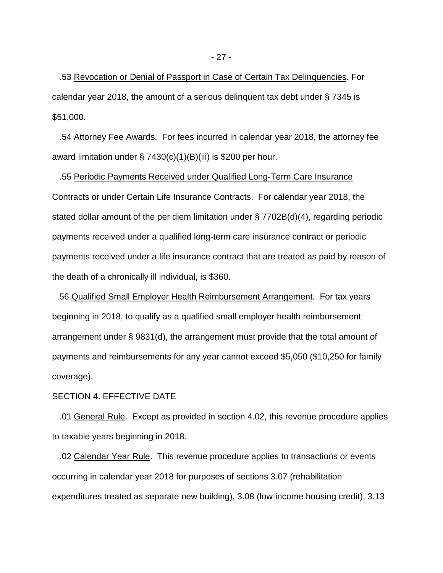.53 Revocation or Denial of Passport in Case of Certain Tax Delinquencies. For calendar year 2018, the amount of a serious delinquent tax debt under § 7345 is \$51,000.

 .54 Attorney Fee Awards. For fees incurred in calendar year 2018, the attorney fee award limitation under  $\S$  7430(c)(1)(B)(iii) is \$200 per hour.

 .55 Periodic Payments Received under Qualified Long-Term Care Insurance Contracts or under Certain Life Insurance Contracts. For calendar year 2018, the stated dollar amount of the per diem limitation under § 7702B(d)(4), regarding periodic payments received under a qualified long-term care insurance contract or periodic payments received under a life insurance contract that are treated as paid by reason of the death of a chronically ill individual, is \$360.

 .56 Qualified Small Employer Health Reimbursement Arrangement. For tax years beginning in 2018, to qualify as a qualified small employer health reimbursement arrangement under § 9831(d), the arrangement must provide that the total amount of payments and reimbursements for any year cannot exceed \$5,050 (\$10,250 for family coverage).

#### SECTION 4. EFFECTIVE DATE

 .01 General Rule. Except as provided in section 4.02, this revenue procedure applies to taxable years beginning in 2018.

 .02 Calendar Year Rule. This revenue procedure applies to transactions or events occurring in calendar year 2018 for purposes of sections 3.07 (rehabilitation expenditures treated as separate new building), 3.08 (low-income housing credit), 3.13